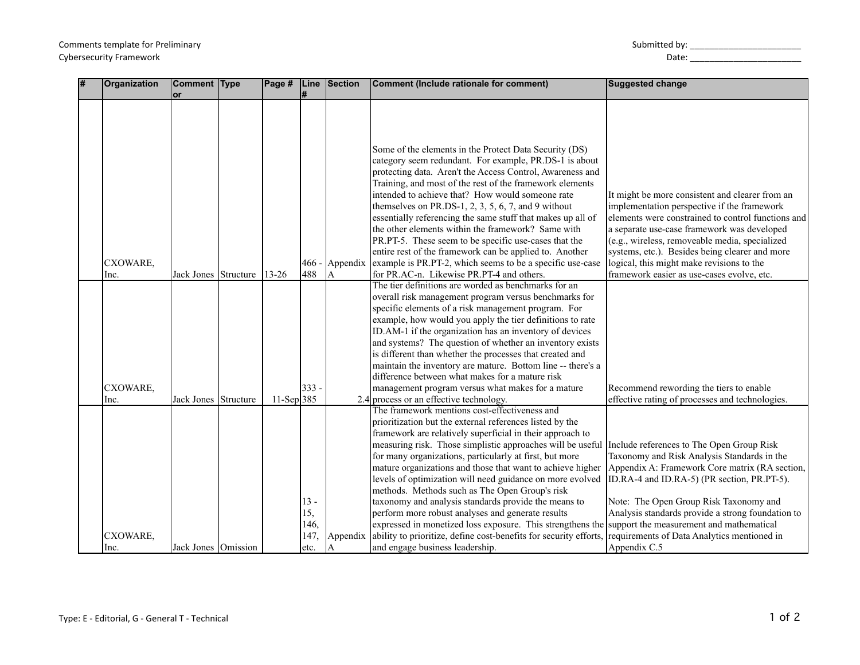| Submitted by: |  |
|---------------|--|
|---------------|--|

Cybersecurity Framework Date: \_\_\_\_\_\_\_\_\_\_\_\_\_\_\_\_\_\_\_\_\_\_\_

| # | Organization     | Comment Type                 | Page #     | Line                  | Section       | Comment (Include rationale for comment)                                                                                                                                                                                                                                                                                                                                                                                                                                                                                                                                                                                                                                                                                                                                                                                                                                                                                                                                                                                                                             | <b>Suggested change</b>                                                                                                                                                                                                                                                                                                                                                                            |
|---|------------------|------------------------------|------------|-----------------------|---------------|---------------------------------------------------------------------------------------------------------------------------------------------------------------------------------------------------------------------------------------------------------------------------------------------------------------------------------------------------------------------------------------------------------------------------------------------------------------------------------------------------------------------------------------------------------------------------------------------------------------------------------------------------------------------------------------------------------------------------------------------------------------------------------------------------------------------------------------------------------------------------------------------------------------------------------------------------------------------------------------------------------------------------------------------------------------------|----------------------------------------------------------------------------------------------------------------------------------------------------------------------------------------------------------------------------------------------------------------------------------------------------------------------------------------------------------------------------------------------------|
|   | CXOWARE,<br>Inc. | or<br>Jack Jones   Structure | $13 - 26$  | 466<br>488            | Appendix<br>A | Some of the elements in the Protect Data Security (DS)<br>category seem redundant. For example, PR.DS-1 is about<br>protecting data. Aren't the Access Control, Awareness and<br>Training, and most of the rest of the framework elements<br>intended to achieve that? How would someone rate<br>themselves on PR.DS-1, 2, 3, 5, 6, 7, and 9 without<br>essentially referencing the same stuff that makes up all of<br>the other elements within the framework? Same with<br>PR.PT-5. These seem to be specific use-cases that the<br>entire rest of the framework can be applied to. Another<br>example is PR.PT-2, which seems to be a specific use-case<br>for PR.AC-n. Likewise PR.PT-4 and others.<br>The tier definitions are worded as benchmarks for an<br>overall risk management program versus benchmarks for<br>specific elements of a risk management program. For<br>example, how would you apply the tier definitions to rate<br>ID.AM-1 if the organization has an inventory of devices<br>and systems? The question of whether an inventory exists | It might be more consistent and clearer from an<br>implementation perspective if the framework<br>elements were constrained to control functions and<br>a separate use-case framework was developed<br>(e.g., wireless, removeable media, specialized<br>systems, etc.). Besides being clearer and more<br>logical, this might make revisions to the<br>framework easier as use-cases evolve, etc. |
|   | CXOWARE,<br>Inc. | Jack Jones Structure         | 11-Sep 385 | 333                   |               | is different than whether the processes that created and<br>maintain the inventory are mature. Bottom line -- there's a<br>difference between what makes for a mature risk<br>management program versus what makes for a mature<br>2.4 process or an effective technology.                                                                                                                                                                                                                                                                                                                                                                                                                                                                                                                                                                                                                                                                                                                                                                                          | Recommend rewording the tiers to enable<br>effective rating of processes and technologies.                                                                                                                                                                                                                                                                                                         |
|   |                  |                              |            |                       |               | The framework mentions cost-effectiveness and<br>prioritization but the external references listed by the                                                                                                                                                                                                                                                                                                                                                                                                                                                                                                                                                                                                                                                                                                                                                                                                                                                                                                                                                           |                                                                                                                                                                                                                                                                                                                                                                                                    |
|   |                  |                              |            | $13 -$<br>15,<br>146. |               | framework are relatively superficial in their approach to<br>measuring risk. Those simplistic approaches will be useful Include references to The Open Group Risk<br>for many organizations, particularly at first, but more<br>mature organizations and those that want to achieve higher<br>levels of optimization will need guidance on more evolved<br>methods. Methods such as The Open Group's risk<br>taxonomy and analysis standards provide the means to<br>perform more robust analyses and generate results<br>expressed in monetized loss exposure. This strengthens the                                                                                                                                                                                                                                                                                                                                                                                                                                                                                | Taxonomy and Risk Analysis Standards in the<br>Appendix A: Framework Core matrix (RA section,<br>ID.RA-4 and ID.RA-5) (PR section, PR.PT-5).<br>Note: The Open Group Risk Taxonomy and<br>Analysis standards provide a strong foundation to<br>support the measurement and mathematical                                                                                                            |
|   | CXOWARE,<br>Inc. | Jack Jones Omission          |            | 147<br>etc.           | Appendix<br>A | ability to prioritize, define cost-benefits for security efforts,<br>and engage business leadership.                                                                                                                                                                                                                                                                                                                                                                                                                                                                                                                                                                                                                                                                                                                                                                                                                                                                                                                                                                | requirements of Data Analytics mentioned in<br>Appendix C.5                                                                                                                                                                                                                                                                                                                                        |